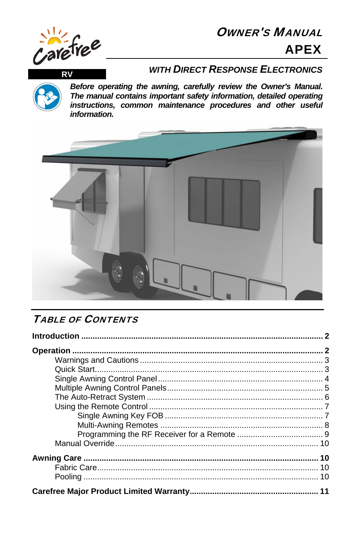# **OWNER'S MANUAL APEX**



**RV** 

### **WITH DIRECT RESPONSE ELECTRONICS**

Before operating the awning, carefully review the Owner's Manual. The manual contains important safety information, detailed operating instructions, common maintenance procedures and other useful information.



# **TABLE OF CONTENTS**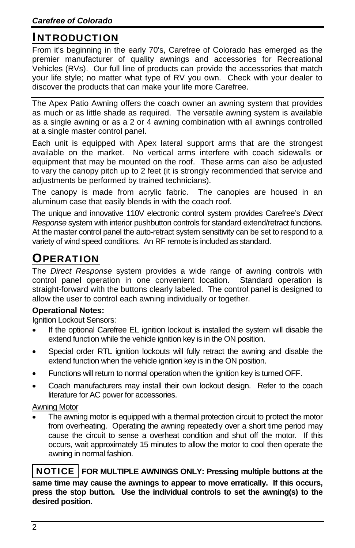## INTRODUCTION

From it's beginning in the early 70's, Carefree of Colorado has emerged as the premier manufacturer of quality awnings and accessories for Recreational Vehicles (RVs). Our full line of products can provide the accessories that match your life style; no matter what type of RV you own. Check with your dealer to discover the products that can make your life more Carefree.

The Apex Patio Awning offers the coach owner an awning system that provides as much or as little shade as required. The versatile awning system is available as a single awning or as a 2 or 4 awning combination with all awnings controlled at a single master control panel.

Each unit is equipped with Apex lateral support arms that are the strongest available on the market. No vertical arms interfere with coach sidewalls or equipment that may be mounted on the roof. These arms can also be adjusted to vary the canopy pitch up to 2 feet (it is strongly recommended that service and adjustments be performed by trained technicians).

The canopy is made from acrylic fabric. The canopies are housed in an aluminum case that easily blends in with the coach roof.

The unique and innovative 110V electronic control system provides Carefree's *Direct Response* system with interior pushbutton controls for standard extend/retract functions. At the master control panel the auto-retract system sensitivity can be set to respond to a variety of wind speed conditions. An RF remote is included as standard.

# **OPERATION**

The *Direct Response* system provides a wide range of awning controls with control panel operation in one convenient location. Standard operation is straight-forward with the buttons clearly labeled. The control panel is designed to allow the user to control each awning individually or together.

### **Operational Notes:**

Ignition Lockout Sensors:

- If the optional Carefree EL ignition lockout is installed the system will disable the extend function while the vehicle ignition key is in the ON position.
- Special order RTL ignition lockouts will fully retract the awning and disable the extend function when the vehicle ignition key is in the ON position.
- Functions will return to normal operation when the ignition key is turned OFF.
- Coach manufacturers may install their own lockout design. Refer to the coach literature for AC power for accessories.

### Awning Motor

 The awning motor is equipped with a thermal protection circuit to protect the motor from overheating. Operating the awning repeatedly over a short time period may cause the circuit to sense a overheat condition and shut off the motor. If this occurs, wait approximately 15 minutes to allow the motor to cool then operate the awning in normal fashion.

 NOTICE **FOR MULTIPLE AWNINGS ONLY: Pressing multiple buttons at the same time may cause the awnings to appear to move erratically. If this occurs, press the stop button. Use the individual controls to set the awning(s) to the desired position.**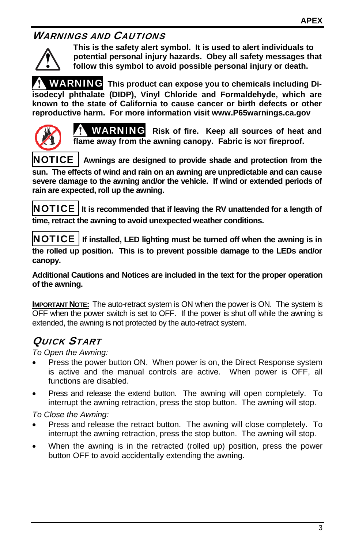### WARNINGS AND CAUTIONS



**This is the safety alert symbol. It is used to alert individuals to potential personal injury hazards. Obey all safety messages that follow this symbol to avoid possible personal injury or death.** 

WARNING **This product can expose you to chemicals including Diisodecyl phthalate (DIDP), Vinyl Chloride and Formaldehyde, which are known to the state of California to cause cancer or birth defects or other reproductive harm. For more information visit www.P65warnings.ca.gov** 



WARNING **Risk of fire. Keep all sources of heat and**  flame away from the awning canopy. Fabric is **NOT** fireproof.

NOTICE **Awnings are designed to provide shade and protection from the sun. The effects of wind and rain on an awning are unpredictable and can cause severe damage to the awning and/or the vehicle. If wind or extended periods of rain are expected, roll up the awning.**

NOTICE **It is recommended that if leaving the RV unattended for a length of time, retract the awning to avoid unexpected weather conditions.** 

NOTICE **If installed, LED lighting must be turned off when the awning is in the rolled up position. This is to prevent possible damage to the LEDs and/or canopy.** 

**Additional Cautions and Notices are included in the text for the proper operation of the awning.** 

**IMPORTANT NOTE:** The auto-retract system is ON when the power is ON. The system is OFF when the power switch is set to OFF. If the power is shut off while the awning is extended, the awning is not protected by the auto-retract system.

## QUICK START

*To Open the Awning:* 

- Press the power button ON. When power is on, the Direct Response system is active and the manual controls are active. When power is OFF, all functions are disabled.
- Press and release the extend button. The awning will open completely. To interrupt the awning retraction, press the stop button. The awning will stop.

*To Close the Awning:* 

- Press and release the retract button. The awning will close completely. To interrupt the awning retraction, press the stop button. The awning will stop.
- When the awning is in the retracted (rolled up) position, press the power button OFF to avoid accidentally extending the awning.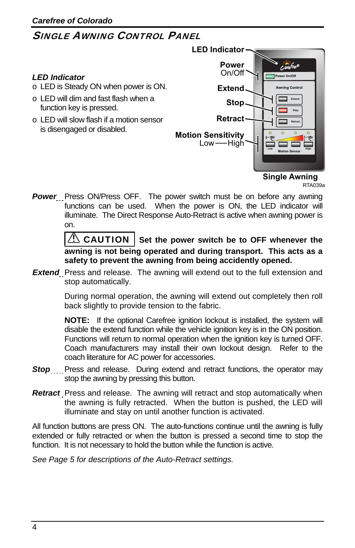### SINGLE AWNING CONTROL PANEL



RTA039a

**Power** Press ON/Press OFF. The power switch must be on before any awning functions can be used. When the power is ON, the LED indicator will illuminate. The Direct Response Auto-Retract is active when awning power is on.

> CAUTION | Set the power switch be to OFF whenever the **awning is not being operated and during transport. This acts as a safety to prevent the awning from being accidently opened.**

*Extend* Press and release. The awning will extend out to the full extension and stop automatically.

> During normal operation, the awning will extend out completely then roll back slightly to provide tension to the fabric.

> **NOTE:** If the optional Carefree ignition lockout is installed, the system will disable the extend function while the vehicle ignition key is in the ON position. Functions will return to normal operation when the ignition key is turned OFF. Coach manufacturers may install their own lockout design. Refer to the coach literature for AC power for accessories.

- **Stop** Press and release. During extend and retract functions, the operator may stop the awning by pressing this button.
- *Retract* Press and release. The awning will retract and stop automatically when the awning is fully retracted. When the button is pushed, the LED will illuminate and stay on until another function is activated.

All function buttons are press ON. The auto-functions continue until the awning is fully extended or fully retracted or when the button is pressed a second time to stop the function. It is not necessary to hold the button while the function is active.

*See Page 5 for descriptions of the Auto-Retract settings.*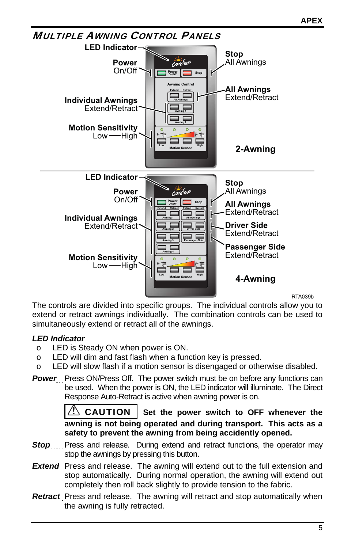

RTA039b

The controls are divided into specific groups. The individual controls allow you to extend or retract awnings individually. The combination controls can be used to simultaneously extend or retract all of the awnings.

### *LED Indicator*

- o LED is Steady ON when power is ON.
- o LED will dim and fast flash when a function key is pressed.
- o LED will slow flash if a motion sensor is disengaged or otherwise disabled.
- **Power** Press ON/Press Off. The power switch must be on before any functions can be used. When the power is ON, the LED indicator will illuminate. The Direct Response Auto-Retract is active when awning power is on.

**CAUTION** Set the power switch to OFF whenever the **awning is not being operated and during transport. This acts as a safety to prevent the awning from being accidently opened.** 

- **Stop** Press and release. During extend and retract functions, the operator may stop the awnings by pressing this button.
- **Extend** Press and release. The awning will extend out to the full extension and stop automatically. During normal operation, the awning will extend out completely then roll back slightly to provide tension to the fabric.
- *Retract* Press and release. The awning will retract and stop automatically when the awning is fully retracted.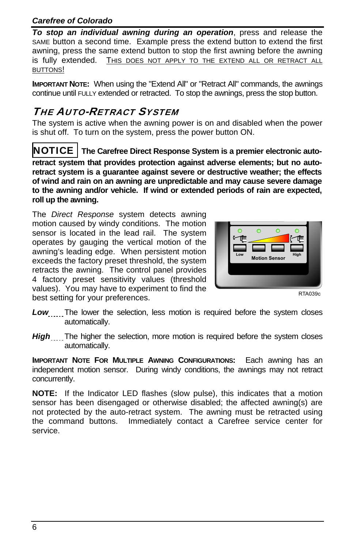### *Carefree of Colorado*

*To stop an individual awning during an operation*, press and release the SAME button a second time. Example press the extend button to extend the first awning, press the same extend button to stop the first awning before the awning is fully extended. THIS DOES NOT APPLY TO THE EXTEND ALL OR RETRACT ALL BUTTONS!

**IMPORTANT NOTE:** When using the "Extend All" or "Retract All" commands, the awnings continue until FULLY extended or retracted. To stop the awnings, press the stop button.

## THE AUTO-RETRACT SYSTEM

The system is active when the awning power is on and disabled when the power is shut off. To turn on the system, press the power button ON.

NOTICE **The Carefree Direct Response System is a premier electronic autoretract system that provides protection against adverse elements; but no autoretract system is a guarantee against severe or destructive weather; the effects of wind and rain on an awning are unpredictable and may cause severe damage to the awning and/or vehicle. If wind or extended periods of rain are expected, roll up the awning.**

The *Direct Response* system detects awning motion caused by windy conditions. The motion sensor is located in the lead rail. The system operates by gauging the vertical motion of the awning's leading edge. When persistent motion exceeds the factory preset threshold, the system retracts the awning. The control panel provides 4 factory preset sensitivity values (threshold values). You may have to experiment to find the best setting for your preferences.



RTA039c

- **Low** The lower the selection, less motion is required before the system closes automatically.
- *High* The higher the selection, more motion is required before the system closes automatically.

**IMPORTANT NOTE FOR MULTIPLE AWNING CONFIGURATIONS:** Each awning has an independent motion sensor. During windy conditions, the awnings may not retract concurrently.

**NOTE:** If the Indicator LED flashes (slow pulse), this indicates that a motion sensor has been disengaged or otherwise disabled; the affected awning(s) are not protected by the auto-retract system. The awning must be retracted using the command buttons. Immediately contact a Carefree service center for service.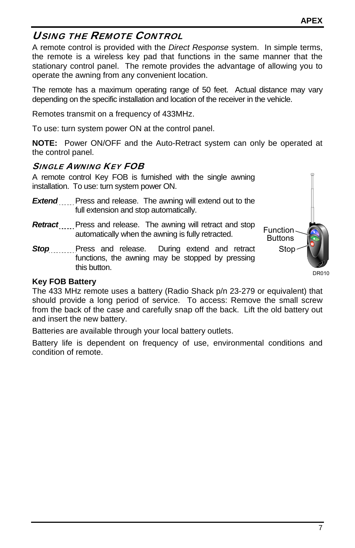### USING THE REMOTE CONTROL

A remote control is provided with the *Direct Response* system. In simple terms, the remote is a wireless key pad that functions in the same manner that the stationary control panel. The remote provides the advantage of allowing you to operate the awning from any convenient location.

The remote has a maximum operating range of 50 feet. Actual distance may vary depending on the specific installation and location of the receiver in the vehicle.

Remotes transmit on a frequency of 433MHz.

To use: turn system power ON at the control panel.

**NOTE:** Power ON/OFF and the Auto-Retract system can only be operated at the control panel.

### SINGLE AWNING KEY FOB

A remote control Key FOB is furnished with the single awning installation. To use: turn system power ON.

- **Extend** Press and release. The awning will extend out to the full extension and stop automatically.
- **Retract** Press and release. The awning will retract and stop automatically when the awning is fully retracted.
- **Stop** Press and release. During extend and retract functions, the awning may be stopped by pressing this button.



#### **Key FOB Battery**

The 433 MHz remote uses a battery (Radio Shack p/n 23-279 or equivalent) that should provide a long period of service. To access: Remove the small screw from the back of the case and carefully snap off the back. Lift the old battery out and insert the new battery.

Batteries are available through your local battery outlets.

Battery life is dependent on frequency of use, environmental conditions and condition of remote.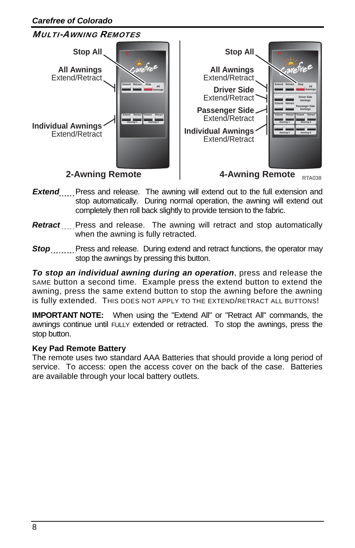

- **Extend** Press and release. The awning will extend out to the full extension and stop automatically. During normal operation, the awning will extend out completely then roll back slightly to provide tension to the fabric.
- *Retract* Press and release. The awning will retract and stop automatically when the awning is fully retracted.
- **Stop** Press and release. During extend and retract functions, the operator may stop the awnings by pressing this button.

*To stop an individual awning during an operation*, press and release the SAME button a second time. Example press the extend button to extend the awning, press the same extend button to stop the awning before the awning is fully extended. THIS DOES NOT APPLY TO THE EXTEND/RETRACT ALL BUTTONS!

**IMPORTANT NOTE:** When using the "Extend All" or "Retract All" commands, the awnings continue until FULLY extended or retracted. To stop the awnings, press the stop button.

#### **Key Pad Remote Battery**

The remote uses two standard AAA Batteries that should provide a long period of service. To access: open the access cover on the back of the case. Batteries are available through your local battery outlets.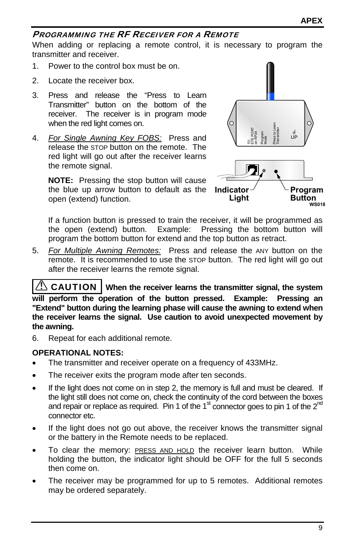### PROGRAMMING THE RF RECEIVER FOR A REMOTE

When adding or replacing a remote control, it is necessary to program the transmitter and receiver.

- 1. Power to the control box must be on.
- 2. Locate the receiver box.
- 3. Press and release the "Press to Learn Transmitter" button on the bottom of the receiver. The receiver is in program mode when the red light comes on.
- 4. *For Single Awning Key FOBS:* Press and release the STOP button on the remote. The red light will go out after the receiver learns the remote signal.

**NOTE:** Pressing the stop button will cause the blue up arrow button to default as the open (extend) function.



If a function button is pressed to train the receiver, it will be programmed as the open (extend) button. Example: Pressing the bottom button will program the bottom button for extend and the top button as retract.

5. *For Multiple Awning Remotes:* Press and release the ANY button on the remote. It is recommended to use the STOP button. The red light will go out after the receiver learns the remote signal.

**CAUTION** | When the receiver learns the transmitter signal, the system **will perform the operation of the button pressed. Example: Pressing an "Extend" button during the learning phase will cause the awning to extend when the receiver learns the signal. Use caution to avoid unexpected movement by the awning.** 

6. Repeat for each additional remote.

#### **OPERATIONAL NOTES:**

- The transmitter and receiver operate on a frequency of 433MHz.
- The receiver exits the program mode after ten seconds.
- If the light does not come on in step 2, the memory is full and must be cleared. If the light still does not come on, check the continuity of the cord between the boxes and repair or replace as required. Pin 1 of the  $1<sup>st</sup>$  connector goes to pin 1 of the  $2<sup>nd</sup>$ connector etc.
- If the light does not go out above, the receiver knows the transmitter signal or the battery in the Remote needs to be replaced.
- To clear the memory: PRESS AND HOLD the receiver learn button. While holding the button, the indicator light should be OFF for the full 5 seconds then come on.
- The receiver may be programmed for up to 5 remotes. Additional remotes may be ordered separately.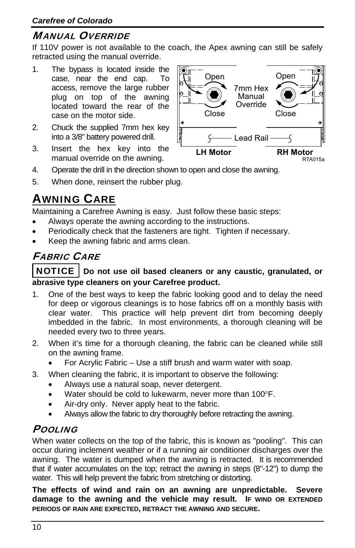### MANUAL OVERRIDE

If 110V power is not available to the coach, the Apex awning can still be safely retracted using the manual override.

- 1. The bypass is located inside the case, near the end cap. To access, remove the large rubber plug on top of the awning located toward the rear of the case on the motor side.
- 2. Chuck the supplied 7mm hex key into a 3/8" battery powered drill.
- 3. Insert the hex key into the manual override on the awning.



- 4. Operate the drill in the direction shown to open and close the awning.
- 5. When done, reinsert the rubber plug.

# AWNING CARE

Maintaining a Carefree Awning is easy. Just follow these basic steps:

- Always operate the awning according to the instructions.
- Periodically check that the fasteners are tight. Tighten if necessary.
- Keep the awning fabric and arms clean.

# FABRIC CARE

### NOTICE **Do not use oil based cleaners or any caustic, granulated, or abrasive type cleaners on your Carefree product.**

- 1. One of the best ways to keep the fabric looking good and to delay the need for deep or vigorous cleanings is to hose fabrics off on a monthly basis with clear water. This practice will help prevent dirt from becoming deeply imbedded in the fabric. In most environments, a thorough cleaning will be needed every two to three years.
- 2. When it's time for a thorough cleaning, the fabric can be cleaned while still on the awning frame.
	- For Acrylic Fabric Use a stiff brush and warm water with soap.
- 3. When cleaning the fabric, it is important to observe the following:
	- Always use a natural soap, never detergent.
	- Water should be cold to lukewarm, never more than 100°F.
	- Air-dry only. Never apply heat to the fabric.
	- Always allow the fabric to dry thoroughly before retracting the awning.

### **POOLING**

When water collects on the top of the fabric, this is known as "pooling". This can occur during inclement weather or if a running air conditioner discharges over the awning. The water is dumped when the awning is retracted. It is recommended that if water accumulates on the top; retract the awning in steps (8"-12") to dump the water. This will help prevent the fabric from stretching or distorting.

**The effects of wind and rain on an awning are unpredictable. Severe damage to the awning and the vehicle may result. IF WIND OR EXTENDED PERIODS OF RAIN ARE EXPECTED, RETRACT THE AWNING AND SECURE.**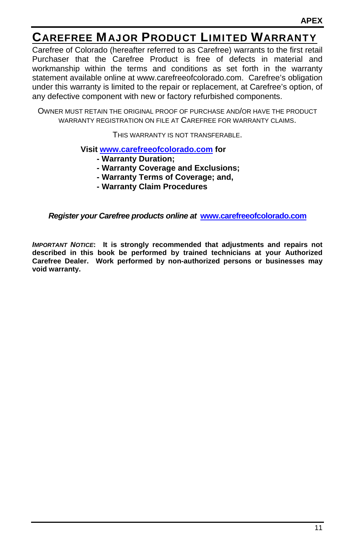# CAREFREE MAJOR PRODUCT LIMITED WARRANTY

Carefree of Colorado (hereafter referred to as Carefree) warrants to the first retail Purchaser that the Carefree Product is free of defects in material and workmanship within the terms and conditions as set forth in the warranty statement available online at www.carefreeofcolorado.com. Carefree's obligation under this warranty is limited to the repair or replacement, at Carefree's option, of any defective component with new or factory refurbished components.

OWNER MUST RETAIN THE ORIGINAL PROOF OF PURCHASE AND/OR HAVE THE PRODUCT WARRANTY REGISTRATION ON FILE AT CAREFREE FOR WARRANTY CLAIMS.

THIS WARRANTY IS NOT TRANSFERABLE.

**Visit www.carefreeofcolorado.com for** 

- **Warranty Duration;**
- **Warranty Coverage and Exclusions;**
- **Warranty Terms of Coverage; and,**
- **Warranty Claim Procedures**

*Register your Carefree products online at* **www.carefreeofcolorado.com** 

*IMPORTANT NOTICE***: It is strongly recommended that adjustments and repairs not described in this book be performed by trained technicians at your Authorized Carefree Dealer. Work performed by non-authorized persons or businesses may void warranty.**